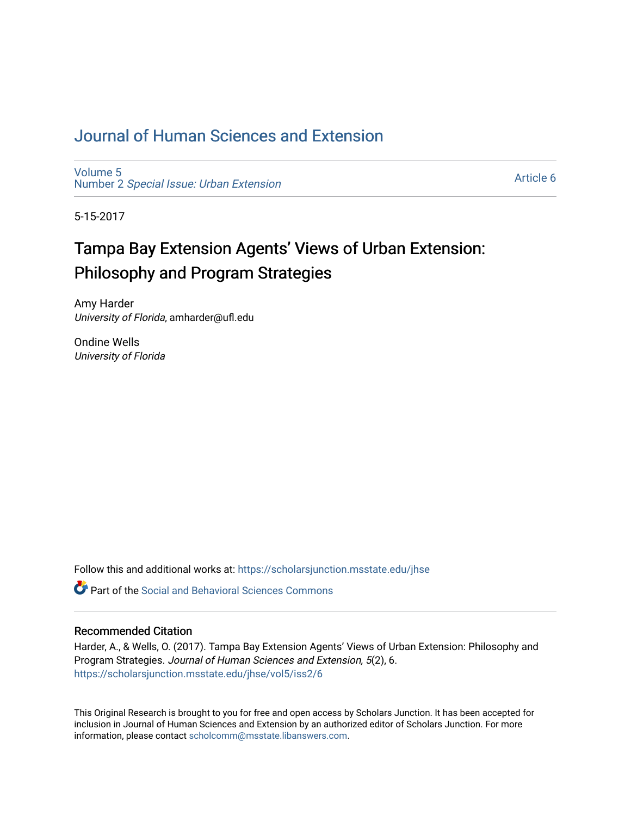## [Journal of Human Sciences and Extension](https://scholarsjunction.msstate.edu/jhse)

[Volume 5](https://scholarsjunction.msstate.edu/jhse/vol5) Number 2 [Special Issue: Urban Extension](https://scholarsjunction.msstate.edu/jhse/vol5/iss2) 

[Article 6](https://scholarsjunction.msstate.edu/jhse/vol5/iss2/6) 

5-15-2017

# Tampa Bay Extension Agents' Views of Urban Extension: Philosophy and Program Strategies

Amy Harder University of Florida, amharder@ufl.edu

Ondine Wells University of Florida

Follow this and additional works at: [https://scholarsjunction.msstate.edu/jhse](https://scholarsjunction.msstate.edu/jhse?utm_source=scholarsjunction.msstate.edu%2Fjhse%2Fvol5%2Fiss2%2F6&utm_medium=PDF&utm_campaign=PDFCoverPages)

**C** Part of the Social and Behavioral Sciences Commons

#### Recommended Citation

Harder, A., & Wells, O. (2017). Tampa Bay Extension Agents' Views of Urban Extension: Philosophy and Program Strategies. Journal of Human Sciences and Extension, 5(2), 6. [https://scholarsjunction.msstate.edu/jhse/vol5/iss2/6](https://scholarsjunction.msstate.edu/jhse/vol5/iss2/6?utm_source=scholarsjunction.msstate.edu%2Fjhse%2Fvol5%2Fiss2%2F6&utm_medium=PDF&utm_campaign=PDFCoverPages)

This Original Research is brought to you for free and open access by Scholars Junction. It has been accepted for inclusion in Journal of Human Sciences and Extension by an authorized editor of Scholars Junction. For more information, please contact [scholcomm@msstate.libanswers.com](mailto:scholcomm@msstate.libanswers.com).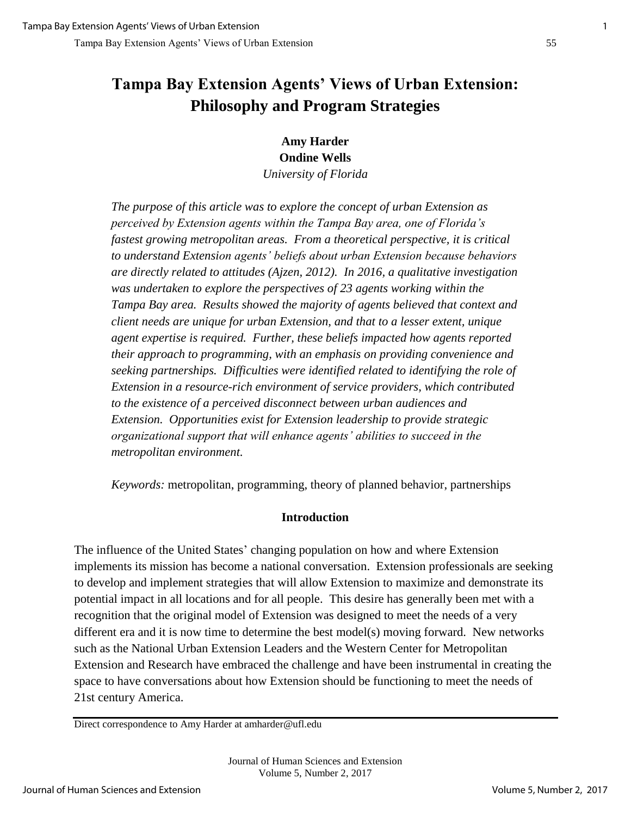## **Tampa Bay Extension Agents' Views of Urban Extension: Philosophy and Program Strategies**

**Amy Harder Ondine Wells**  *University of Florida* 

*The purpose of this article was to explore the concept of urban Extension as perceived by Extension agents within the Tampa Bay area, one of Florida's fastest growing metropolitan areas. From a theoretical perspective, it is critical to understand Extension agents' beliefs about urban Extension because behaviors are directly related to attitudes (Ajzen, 2012). In 2016, a qualitative investigation was undertaken to explore the perspectives of 23 agents working within the Tampa Bay area. Results showed the majority of agents believed that context and client needs are unique for urban Extension, and that to a lesser extent, unique agent expertise is required. Further, these beliefs impacted how agents reported their approach to programming, with an emphasis on providing convenience and seeking partnerships. Difficulties were identified related to identifying the role of Extension in a resource-rich environment of service providers, which contributed to the existence of a perceived disconnect between urban audiences and Extension. Opportunities exist for Extension leadership to provide strategic organizational support that will enhance agents' abilities to succeed in the metropolitan environment.*

*Keywords:* metropolitan, programming, theory of planned behavior, partnerships

## **Introduction**

The influence of the United States' changing population on how and where Extension implements its mission has become a national conversation. Extension professionals are seeking to develop and implement strategies that will allow Extension to maximize and demonstrate its potential impact in all locations and for all people. This desire has generally been met with a recognition that the original model of Extension was designed to meet the needs of a very different era and it is now time to determine the best model(s) moving forward. New networks such as the National Urban Extension Leaders and the Western Center for Metropolitan Extension and Research have embraced the challenge and have been instrumental in creating the space to have conversations about how Extension should be functioning to meet the needs of 21st century America.

Direct correspondence to Amy Harder at amharder@ufl.edu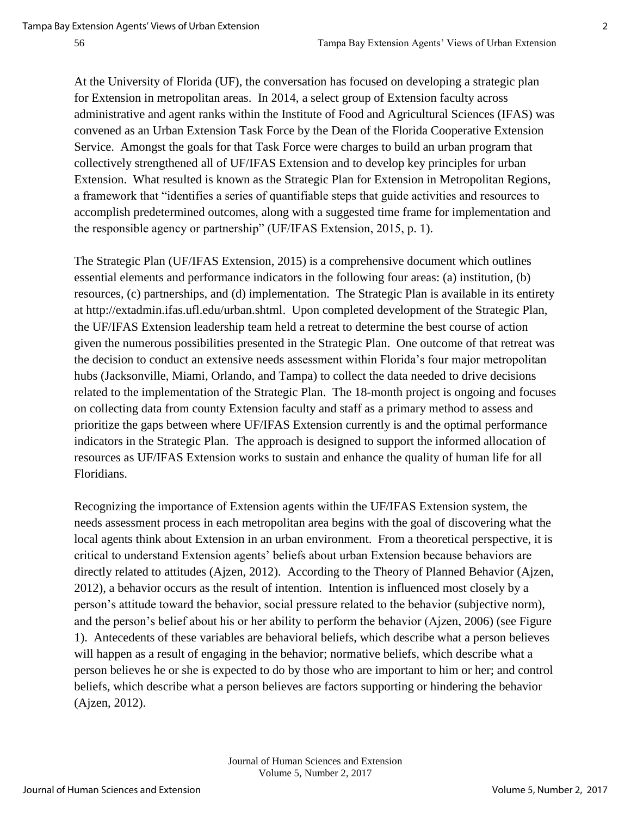At the University of Florida (UF), the conversation has focused on developing a strategic plan for Extension in metropolitan areas. In 2014, a select group of Extension faculty across administrative and agent ranks within the Institute of Food and Agricultural Sciences (IFAS) was convened as an Urban Extension Task Force by the Dean of the Florida Cooperative Extension Service. Amongst the goals for that Task Force were charges to build an urban program that collectively strengthened all of UF/IFAS Extension and to develop key principles for urban Extension. What resulted is known as the Strategic Plan for Extension in Metropolitan Regions, a framework that "identifies a series of quantifiable steps that guide activities and resources to accomplish predetermined outcomes, along with a suggested time frame for implementation and the responsible agency or partnership" (UF/IFAS Extension, 2015, p. 1).

The Strategic Plan (UF/IFAS Extension, 2015) is a comprehensive document which outlines essential elements and performance indicators in the following four areas: (a) institution, (b) resources, (c) partnerships, and (d) implementation. The Strategic Plan is available in its entirety at http://extadmin.ifas.ufl.edu/urban.shtml. Upon completed development of the Strategic Plan, the UF/IFAS Extension leadership team held a retreat to determine the best course of action given the numerous possibilities presented in the Strategic Plan. One outcome of that retreat was the decision to conduct an extensive needs assessment within Florida's four major metropolitan hubs (Jacksonville, Miami, Orlando, and Tampa) to collect the data needed to drive decisions related to the implementation of the Strategic Plan. The 18-month project is ongoing and focuses on collecting data from county Extension faculty and staff as a primary method to assess and prioritize the gaps between where UF/IFAS Extension currently is and the optimal performance indicators in the Strategic Plan. The approach is designed to support the informed allocation of resources as UF/IFAS Extension works to sustain and enhance the quality of human life for all Floridians.

Recognizing the importance of Extension agents within the UF/IFAS Extension system, the needs assessment process in each metropolitan area begins with the goal of discovering what the local agents think about Extension in an urban environment. From a theoretical perspective, it is critical to understand Extension agents' beliefs about urban Extension because behaviors are directly related to attitudes (Ajzen, 2012). According to the Theory of Planned Behavior (Ajzen, 2012), a behavior occurs as the result of intention. Intention is influenced most closely by a person's attitude toward the behavior, social pressure related to the behavior (subjective norm), and the person's belief about his or her ability to perform the behavior (Ajzen, 2006) (see Figure 1). Antecedents of these variables are behavioral beliefs, which describe what a person believes will happen as a result of engaging in the behavior; normative beliefs, which describe what a person believes he or she is expected to do by those who are important to him or her; and control beliefs, which describe what a person believes are factors supporting or hindering the behavior (Ajzen, 2012).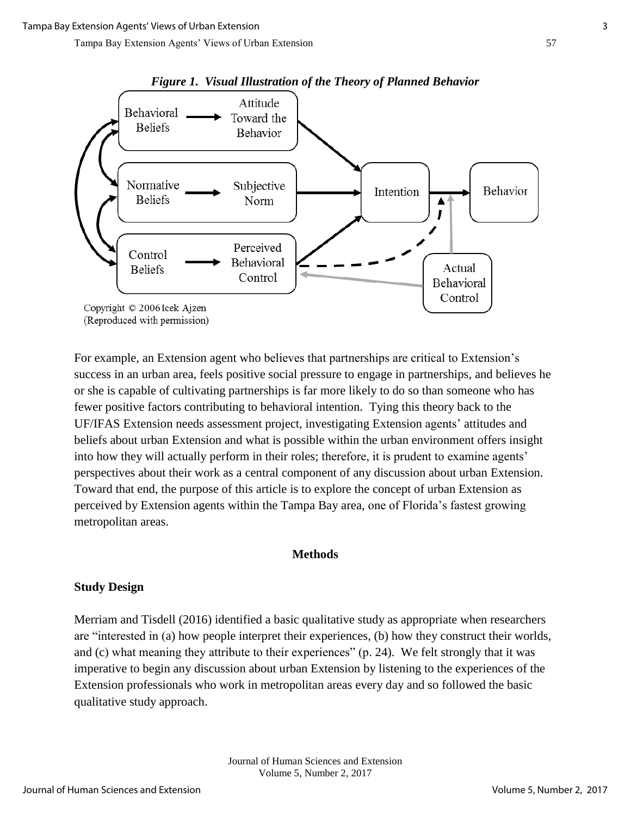

For example, an Extension agent who believes that partnerships are critical to Extension's success in an urban area, feels positive social pressure to engage in partnerships, and believes he or she is capable of cultivating partnerships is far more likely to do so than someone who has fewer positive factors contributing to behavioral intention. Tying this theory back to the UF/IFAS Extension needs assessment project, investigating Extension agents' attitudes and beliefs about urban Extension and what is possible within the urban environment offers insight into how they will actually perform in their roles; therefore, it is prudent to examine agents' perspectives about their work as a central component of any discussion about urban Extension. Toward that end, the purpose of this article is to explore the concept of urban Extension as perceived by Extension agents within the Tampa Bay area, one of Florida's fastest growing metropolitan areas.

#### **Methods**

#### **Study Design**

Merriam and Tisdell (2016) identified a basic qualitative study as appropriate when researchers are "interested in (a) how people interpret their experiences, (b) how they construct their worlds, and (c) what meaning they attribute to their experiences" (p. 24). We felt strongly that it was imperative to begin any discussion about urban Extension by listening to the experiences of the Extension professionals who work in metropolitan areas every day and so followed the basic qualitative study approach.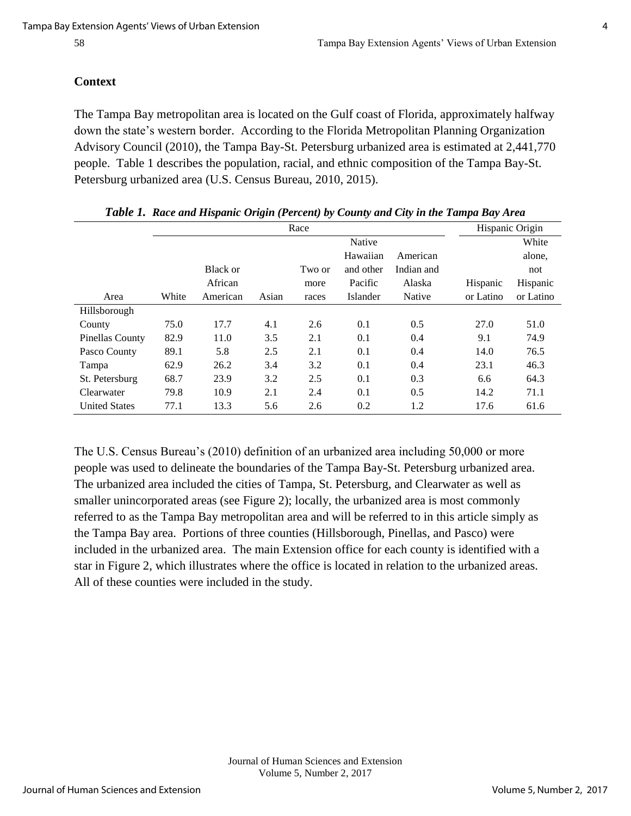#### **Context**

The Tampa Bay metropolitan area is located on the Gulf coast of Florida, approximately halfway down the state's western border. According to the Florida Metropolitan Planning Organization Advisory Council (2010), the Tampa Bay-St. Petersburg urbanized area is estimated at 2,441,770 people. Table 1 describes the population, racial, and ethnic composition of the Tampa Bay-St. Petersburg urbanized area (U.S. Census Bureau, 2010, 2015).

|                        | Race  |          |       |        |               |            | Hispanic Origin |           |
|------------------------|-------|----------|-------|--------|---------------|------------|-----------------|-----------|
|                        |       |          |       |        | <b>Native</b> |            |                 | White     |
|                        |       |          |       |        | Hawaiian      | American   |                 | alone,    |
|                        |       | Black or |       | Two or | and other     | Indian and |                 | not       |
|                        |       | African  |       | more   | Pacific       | Alaska     | Hispanic        | Hispanic  |
| Area                   | White | American | Asian | races  | Islander      | Native     | or Latino       | or Latino |
| Hillsborough           |       |          |       |        |               |            |                 |           |
| County                 | 75.0  | 17.7     | 4.1   | 2.6    | 0.1           | 0.5        | 27.0            | 51.0      |
| <b>Pinellas County</b> | 82.9  | 11.0     | 3.5   | 2.1    | 0.1           | 0.4        | 9.1             | 74.9      |
| Pasco County           | 89.1  | 5.8      | 2.5   | 2.1    | 0.1           | 0.4        | 14.0            | 76.5      |
| Tampa                  | 62.9  | 26.2     | 3.4   | 3.2    | 0.1           | 0.4        | 23.1            | 46.3      |
| St. Petersburg         | 68.7  | 23.9     | 3.2   | 2.5    | 0.1           | 0.3        | 6.6             | 64.3      |
| Clearwater             | 79.8  | 10.9     | 2.1   | 2.4    | 0.1           | 0.5        | 14.2            | 71.1      |
| <b>United States</b>   | 77.1  | 13.3     | 5.6   | 2.6    | 0.2           | 1.2        | 17.6            | 61.6      |

*Table 1. Race and Hispanic Origin (Percent) by County and City in the Tampa Bay Area* 

The U.S. Census Bureau's (2010) definition of an urbanized area including 50,000 or more people was used to delineate the boundaries of the Tampa Bay-St. Petersburg urbanized area. The urbanized area included the cities of Tampa, St. Petersburg, and Clearwater as well as smaller unincorporated areas (see Figure 2); locally, the urbanized area is most commonly referred to as the Tampa Bay metropolitan area and will be referred to in this article simply as the Tampa Bay area. Portions of three counties (Hillsborough, Pinellas, and Pasco) were included in the urbanized area. The main Extension office for each county is identified with a star in Figure 2, which illustrates where the office is located in relation to the urbanized areas. All of these counties were included in the study.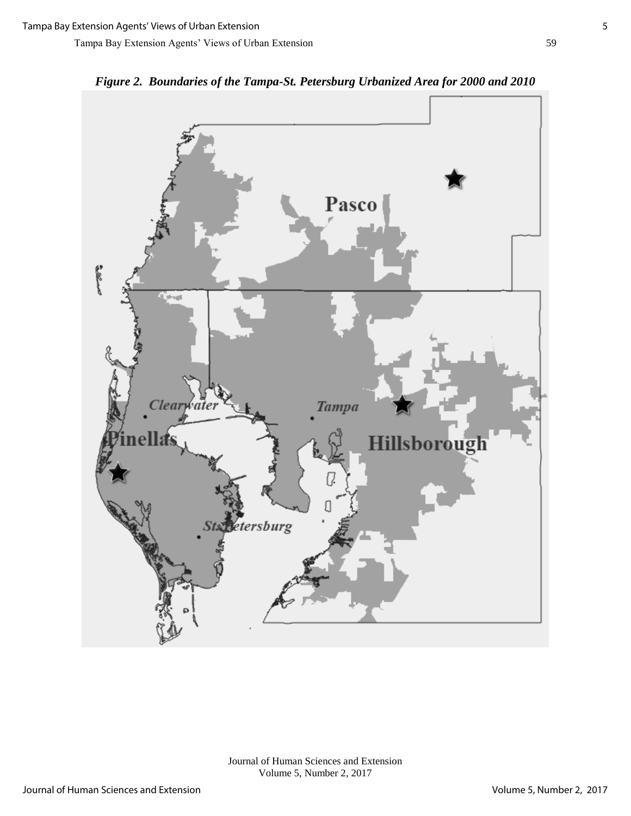

*Figure 2. Boundaries of the Tampa-St. Petersburg Urbanized Area for 2000 and 2010*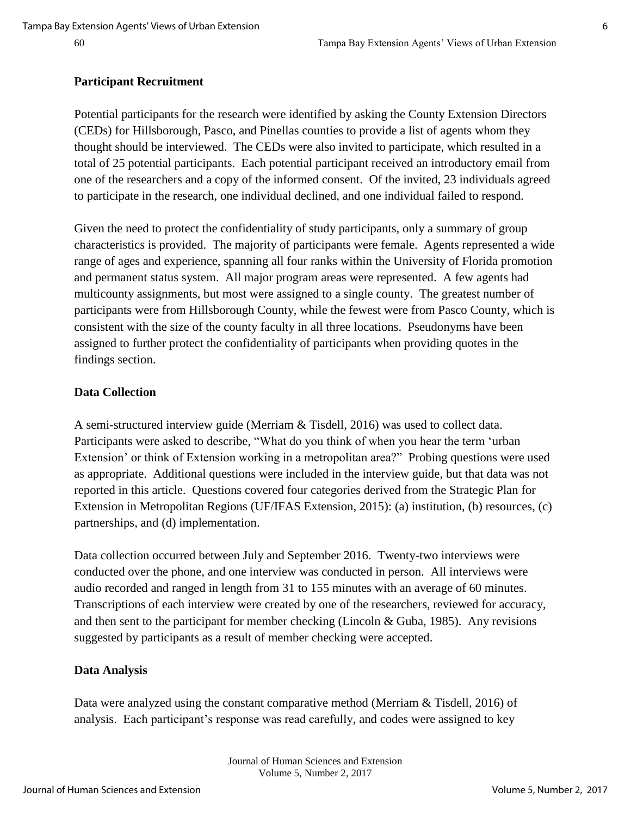### **Participant Recruitment**

Potential participants for the research were identified by asking the County Extension Directors (CEDs) for Hillsborough, Pasco, and Pinellas counties to provide a list of agents whom they thought should be interviewed. The CEDs were also invited to participate, which resulted in a total of 25 potential participants. Each potential participant received an introductory email from one of the researchers and a copy of the informed consent. Of the invited, 23 individuals agreed to participate in the research, one individual declined, and one individual failed to respond.

Given the need to protect the confidentiality of study participants, only a summary of group characteristics is provided. The majority of participants were female. Agents represented a wide range of ages and experience, spanning all four ranks within the University of Florida promotion and permanent status system. All major program areas were represented. A few agents had multicounty assignments, but most were assigned to a single county. The greatest number of participants were from Hillsborough County, while the fewest were from Pasco County, which is consistent with the size of the county faculty in all three locations. Pseudonyms have been assigned to further protect the confidentiality of participants when providing quotes in the findings section.

#### **Data Collection**

A semi-structured interview guide (Merriam & Tisdell, 2016) was used to collect data. Participants were asked to describe, "What do you think of when you hear the term 'urban Extension' or think of Extension working in a metropolitan area?" Probing questions were used as appropriate. Additional questions were included in the interview guide, but that data was not reported in this article. Questions covered four categories derived from the Strategic Plan for Extension in Metropolitan Regions (UF/IFAS Extension, 2015): (a) institution, (b) resources, (c) partnerships, and (d) implementation.

Data collection occurred between July and September 2016. Twenty-two interviews were conducted over the phone, and one interview was conducted in person. All interviews were audio recorded and ranged in length from 31 to 155 minutes with an average of 60 minutes. Transcriptions of each interview were created by one of the researchers, reviewed for accuracy, and then sent to the participant for member checking (Lincoln & Guba, 1985). Any revisions suggested by participants as a result of member checking were accepted.

## **Data Analysis**

Data were analyzed using the constant comparative method (Merriam & Tisdell, 2016) of analysis. Each participant's response was read carefully, and codes were assigned to key

> Journal of Human Sciences and Extension Volume 5, Number 2, 2017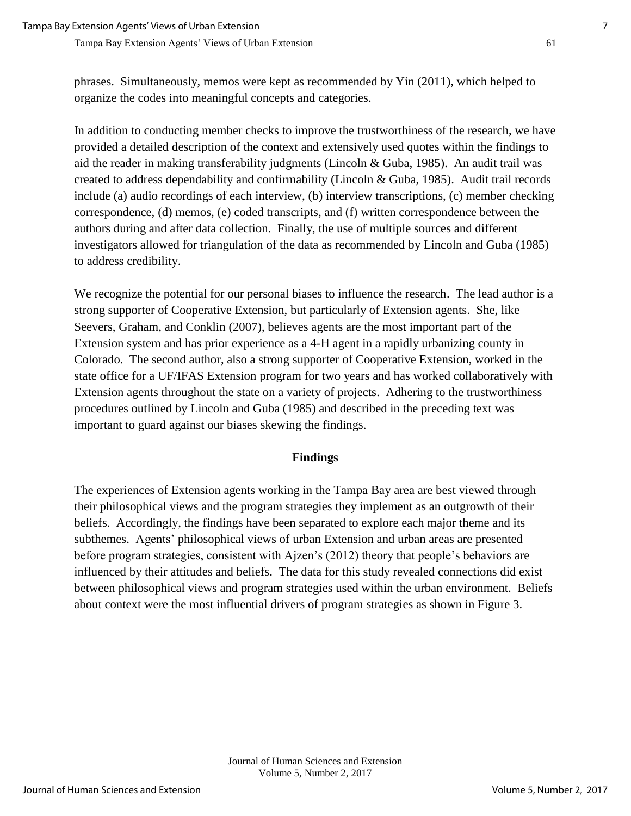phrases. Simultaneously, memos were kept as recommended by Yin (2011), which helped to organize the codes into meaningful concepts and categories.

In addition to conducting member checks to improve the trustworthiness of the research, we have provided a detailed description of the context and extensively used quotes within the findings to aid the reader in making transferability judgments (Lincoln & Guba, 1985). An audit trail was created to address dependability and confirmability (Lincoln & Guba, 1985). Audit trail records include (a) audio recordings of each interview, (b) interview transcriptions, (c) member checking correspondence, (d) memos, (e) coded transcripts, and (f) written correspondence between the authors during and after data collection. Finally, the use of multiple sources and different investigators allowed for triangulation of the data as recommended by Lincoln and Guba (1985) to address credibility.

We recognize the potential for our personal biases to influence the research. The lead author is a strong supporter of Cooperative Extension, but particularly of Extension agents. She, like Seevers, Graham, and Conklin (2007), believes agents are the most important part of the Extension system and has prior experience as a 4-H agent in a rapidly urbanizing county in Colorado. The second author, also a strong supporter of Cooperative Extension, worked in the state office for a UF/IFAS Extension program for two years and has worked collaboratively with Extension agents throughout the state on a variety of projects. Adhering to the trustworthiness procedures outlined by Lincoln and Guba (1985) and described in the preceding text was important to guard against our biases skewing the findings.

#### **Findings**

The experiences of Extension agents working in the Tampa Bay area are best viewed through their philosophical views and the program strategies they implement as an outgrowth of their beliefs. Accordingly, the findings have been separated to explore each major theme and its subthemes. Agents' philosophical views of urban Extension and urban areas are presented before program strategies, consistent with Ajzen's (2012) theory that people's behaviors are influenced by their attitudes and beliefs. The data for this study revealed connections did exist between philosophical views and program strategies used within the urban environment. Beliefs about context were the most influential drivers of program strategies as shown in Figure 3.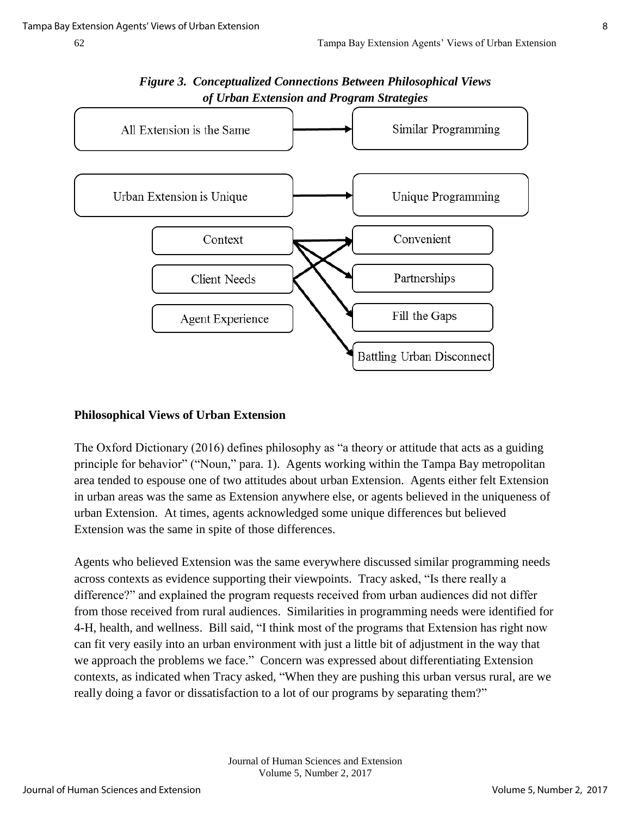

*Figure 3. Conceptualized Connections Between Philosophical Views of Urban Extension and Program Strategies* 

## **Philosophical Views of Urban Extension**

The Oxford Dictionary (2016) defines philosophy as "a theory or attitude that acts as a guiding principle for behavior" ("Noun," para. 1). Agents working within the Tampa Bay metropolitan area tended to espouse one of two attitudes about urban Extension. Agents either felt Extension in urban areas was the same as Extension anywhere else, or agents believed in the uniqueness of urban Extension. At times, agents acknowledged some unique differences but believed Extension was the same in spite of those differences.

Agents who believed Extension was the same everywhere discussed similar programming needs across contexts as evidence supporting their viewpoints. Tracy asked, "Is there really a difference?" and explained the program requests received from urban audiences did not differ from those received from rural audiences. Similarities in programming needs were identified for 4-H, health, and wellness. Bill said, "I think most of the programs that Extension has right now can fit very easily into an urban environment with just a little bit of adjustment in the way that we approach the problems we face." Concern was expressed about differentiating Extension contexts, as indicated when Tracy asked, "When they are pushing this urban versus rural, are we really doing a favor or dissatisfaction to a lot of our programs by separating them?"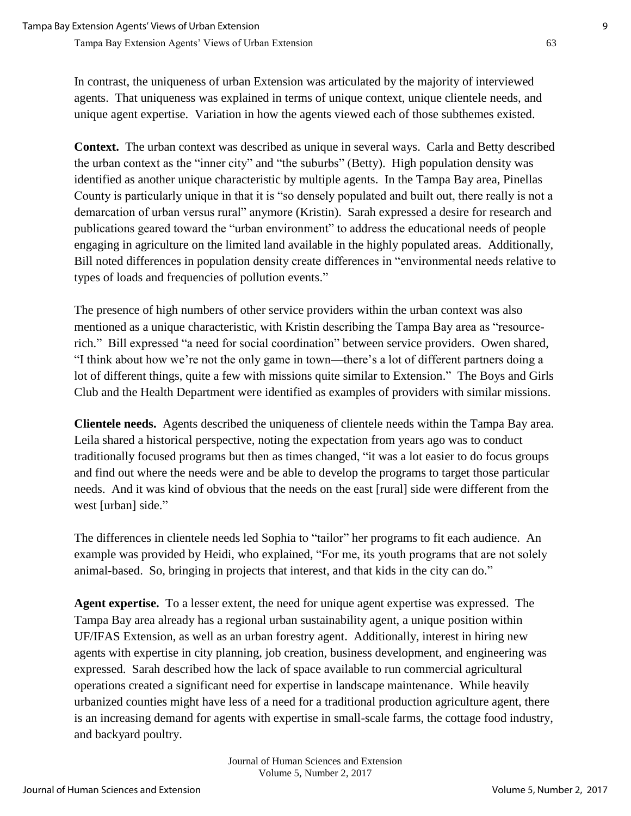In contrast, the uniqueness of urban Extension was articulated by the majority of interviewed agents. That uniqueness was explained in terms of unique context, unique clientele needs, and unique agent expertise. Variation in how the agents viewed each of those subthemes existed.

**Context.** The urban context was described as unique in several ways. Carla and Betty described the urban context as the "inner city" and "the suburbs" (Betty). High population density was identified as another unique characteristic by multiple agents. In the Tampa Bay area, Pinellas County is particularly unique in that it is "so densely populated and built out, there really is not a demarcation of urban versus rural" anymore (Kristin). Sarah expressed a desire for research and publications geared toward the "urban environment" to address the educational needs of people engaging in agriculture on the limited land available in the highly populated areas. Additionally, Bill noted differences in population density create differences in "environmental needs relative to types of loads and frequencies of pollution events."

The presence of high numbers of other service providers within the urban context was also mentioned as a unique characteristic, with Kristin describing the Tampa Bay area as "resourcerich." Bill expressed "a need for social coordination" between service providers. Owen shared, "I think about how we're not the only game in town—there's a lot of different partners doing a lot of different things, quite a few with missions quite similar to Extension." The Boys and Girls Club and the Health Department were identified as examples of providers with similar missions.

**Clientele needs.** Agents described the uniqueness of clientele needs within the Tampa Bay area. Leila shared a historical perspective, noting the expectation from years ago was to conduct traditionally focused programs but then as times changed, "it was a lot easier to do focus groups and find out where the needs were and be able to develop the programs to target those particular needs. And it was kind of obvious that the needs on the east [rural] side were different from the west [urban] side."

The differences in clientele needs led Sophia to "tailor" her programs to fit each audience. An example was provided by Heidi, who explained, "For me, its youth programs that are not solely animal-based. So, bringing in projects that interest, and that kids in the city can do."

**Agent expertise.** To a lesser extent, the need for unique agent expertise was expressed. The Tampa Bay area already has a regional urban sustainability agent, a unique position within UF/IFAS Extension, as well as an urban forestry agent. Additionally, interest in hiring new agents with expertise in city planning, job creation, business development, and engineering was expressed. Sarah described how the lack of space available to run commercial agricultural operations created a significant need for expertise in landscape maintenance. While heavily urbanized counties might have less of a need for a traditional production agriculture agent, there is an increasing demand for agents with expertise in small-scale farms, the cottage food industry, and backyard poultry.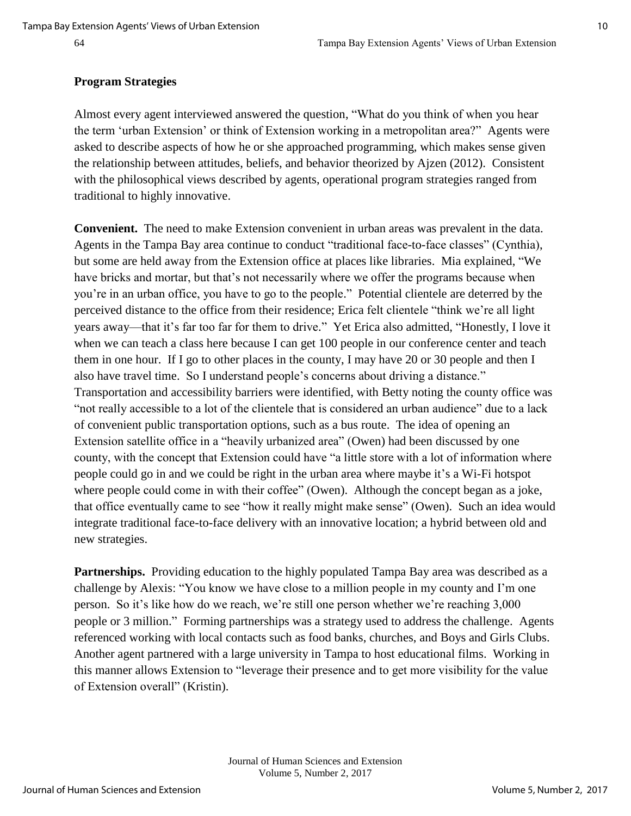## **Program Strategies**

Almost every agent interviewed answered the question, "What do you think of when you hear the term 'urban Extension' or think of Extension working in a metropolitan area?" Agents were asked to describe aspects of how he or she approached programming, which makes sense given the relationship between attitudes, beliefs, and behavior theorized by Ajzen (2012). Consistent with the philosophical views described by agents, operational program strategies ranged from traditional to highly innovative.

**Convenient.** The need to make Extension convenient in urban areas was prevalent in the data. Agents in the Tampa Bay area continue to conduct "traditional face-to-face classes" (Cynthia), but some are held away from the Extension office at places like libraries. Mia explained, "We have bricks and mortar, but that's not necessarily where we offer the programs because when you're in an urban office, you have to go to the people." Potential clientele are deterred by the perceived distance to the office from their residence; Erica felt clientele "think we're all light years away—that it's far too far for them to drive." Yet Erica also admitted, "Honestly, I love it when we can teach a class here because I can get 100 people in our conference center and teach them in one hour. If I go to other places in the county, I may have 20 or 30 people and then I also have travel time. So I understand people's concerns about driving a distance." Transportation and accessibility barriers were identified, with Betty noting the county office was "not really accessible to a lot of the clientele that is considered an urban audience" due to a lack of convenient public transportation options, such as a bus route. The idea of opening an Extension satellite office in a "heavily urbanized area" (Owen) had been discussed by one county, with the concept that Extension could have "a little store with a lot of information where people could go in and we could be right in the urban area where maybe it's a Wi-Fi hotspot where people could come in with their coffee" (Owen). Although the concept began as a joke, that office eventually came to see "how it really might make sense" (Owen). Such an idea would integrate traditional face-to-face delivery with an innovative location; a hybrid between old and new strategies.

**Partnerships.** Providing education to the highly populated Tampa Bay area was described as a challenge by Alexis: "You know we have close to a million people in my county and I'm one person. So it's like how do we reach, we're still one person whether we're reaching 3,000 people or 3 million." Forming partnerships was a strategy used to address the challenge. Agents referenced working with local contacts such as food banks, churches, and Boys and Girls Clubs. Another agent partnered with a large university in Tampa to host educational films. Working in this manner allows Extension to "leverage their presence and to get more visibility for the value of Extension overall" (Kristin).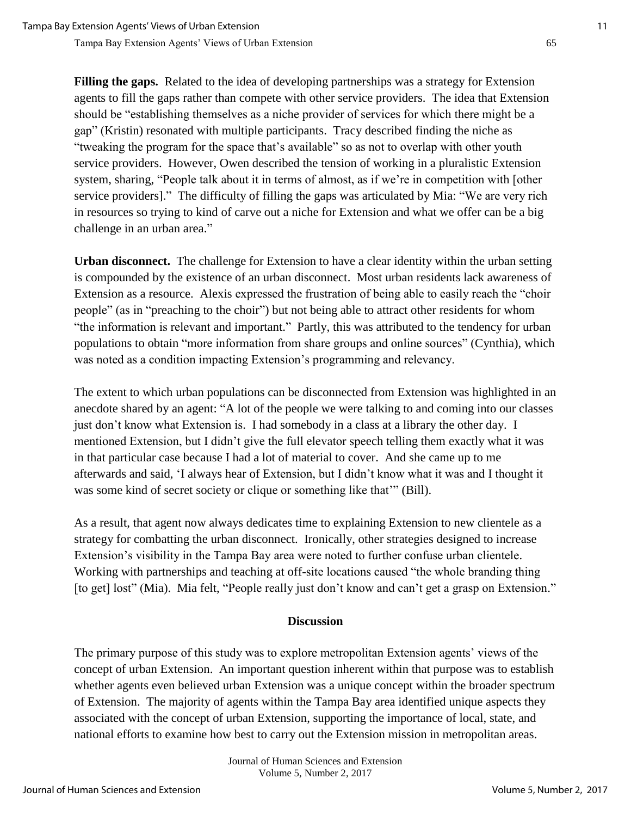**Filling the gaps.** Related to the idea of developing partnerships was a strategy for Extension agents to fill the gaps rather than compete with other service providers. The idea that Extension should be "establishing themselves as a niche provider of services for which there might be a gap" (Kristin) resonated with multiple participants. Tracy described finding the niche as "tweaking the program for the space that's available" so as not to overlap with other youth service providers. However, Owen described the tension of working in a pluralistic Extension system, sharing, "People talk about it in terms of almost, as if we're in competition with [other service providers]." The difficulty of filling the gaps was articulated by Mia: "We are very rich in resources so trying to kind of carve out a niche for Extension and what we offer can be a big challenge in an urban area."

**Urban disconnect.** The challenge for Extension to have a clear identity within the urban setting is compounded by the existence of an urban disconnect. Most urban residents lack awareness of Extension as a resource. Alexis expressed the frustration of being able to easily reach the "choir people" (as in "preaching to the choir") but not being able to attract other residents for whom "the information is relevant and important." Partly, this was attributed to the tendency for urban populations to obtain "more information from share groups and online sources" (Cynthia), which was noted as a condition impacting Extension's programming and relevancy.

The extent to which urban populations can be disconnected from Extension was highlighted in an anecdote shared by an agent: "A lot of the people we were talking to and coming into our classes just don't know what Extension is. I had somebody in a class at a library the other day. I mentioned Extension, but I didn't give the full elevator speech telling them exactly what it was in that particular case because I had a lot of material to cover. And she came up to me afterwards and said, 'I always hear of Extension, but I didn't know what it was and I thought it was some kind of secret society or clique or something like that" (Bill).

As a result, that agent now always dedicates time to explaining Extension to new clientele as a strategy for combatting the urban disconnect. Ironically, other strategies designed to increase Extension's visibility in the Tampa Bay area were noted to further confuse urban clientele. Working with partnerships and teaching at off-site locations caused "the whole branding thing [to get] lost" (Mia). Mia felt, "People really just don't know and can't get a grasp on Extension."

## **Discussion**

The primary purpose of this study was to explore metropolitan Extension agents' views of the concept of urban Extension. An important question inherent within that purpose was to establish whether agents even believed urban Extension was a unique concept within the broader spectrum of Extension. The majority of agents within the Tampa Bay area identified unique aspects they associated with the concept of urban Extension, supporting the importance of local, state, and national efforts to examine how best to carry out the Extension mission in metropolitan areas.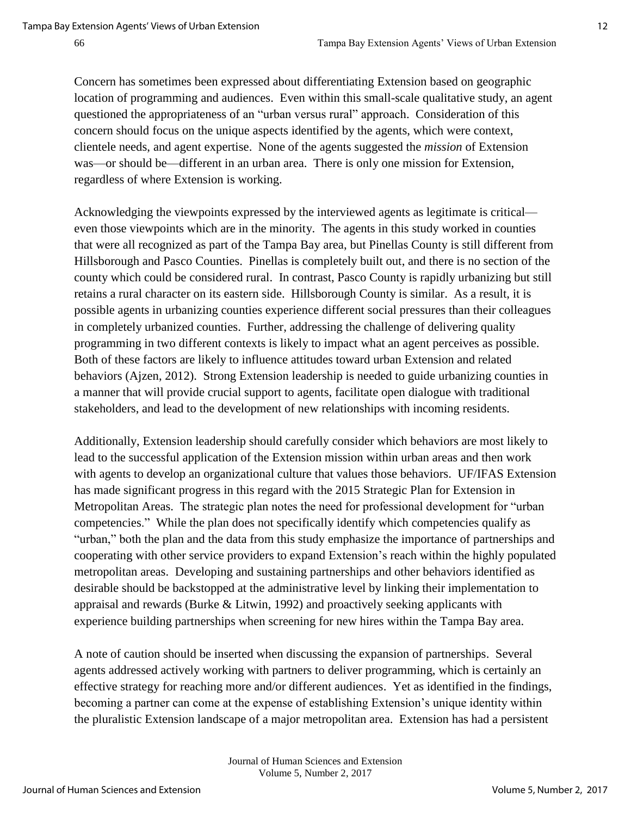Concern has sometimes been expressed about differentiating Extension based on geographic location of programming and audiences. Even within this small-scale qualitative study, an agent questioned the appropriateness of an "urban versus rural" approach. Consideration of this concern should focus on the unique aspects identified by the agents, which were context, clientele needs, and agent expertise. None of the agents suggested the *mission* of Extension was—or should be—different in an urban area. There is only one mission for Extension, regardless of where Extension is working.

Acknowledging the viewpoints expressed by the interviewed agents as legitimate is critical even those viewpoints which are in the minority. The agents in this study worked in counties that were all recognized as part of the Tampa Bay area, but Pinellas County is still different from Hillsborough and Pasco Counties. Pinellas is completely built out, and there is no section of the county which could be considered rural. In contrast, Pasco County is rapidly urbanizing but still retains a rural character on its eastern side. Hillsborough County is similar. As a result, it is possible agents in urbanizing counties experience different social pressures than their colleagues in completely urbanized counties. Further, addressing the challenge of delivering quality programming in two different contexts is likely to impact what an agent perceives as possible. Both of these factors are likely to influence attitudes toward urban Extension and related behaviors (Ajzen, 2012). Strong Extension leadership is needed to guide urbanizing counties in a manner that will provide crucial support to agents, facilitate open dialogue with traditional stakeholders, and lead to the development of new relationships with incoming residents.

Additionally, Extension leadership should carefully consider which behaviors are most likely to lead to the successful application of the Extension mission within urban areas and then work with agents to develop an organizational culture that values those behaviors. UF/IFAS Extension has made significant progress in this regard with the 2015 Strategic Plan for Extension in Metropolitan Areas. The strategic plan notes the need for professional development for "urban competencies." While the plan does not specifically identify which competencies qualify as "urban," both the plan and the data from this study emphasize the importance of partnerships and cooperating with other service providers to expand Extension's reach within the highly populated metropolitan areas. Developing and sustaining partnerships and other behaviors identified as desirable should be backstopped at the administrative level by linking their implementation to appraisal and rewards (Burke & Litwin, 1992) and proactively seeking applicants with experience building partnerships when screening for new hires within the Tampa Bay area.

A note of caution should be inserted when discussing the expansion of partnerships. Several agents addressed actively working with partners to deliver programming, which is certainly an effective strategy for reaching more and/or different audiences. Yet as identified in the findings, becoming a partner can come at the expense of establishing Extension's unique identity within the pluralistic Extension landscape of a major metropolitan area. Extension has had a persistent

> Journal of Human Sciences and Extension Volume 5, Number 2, 2017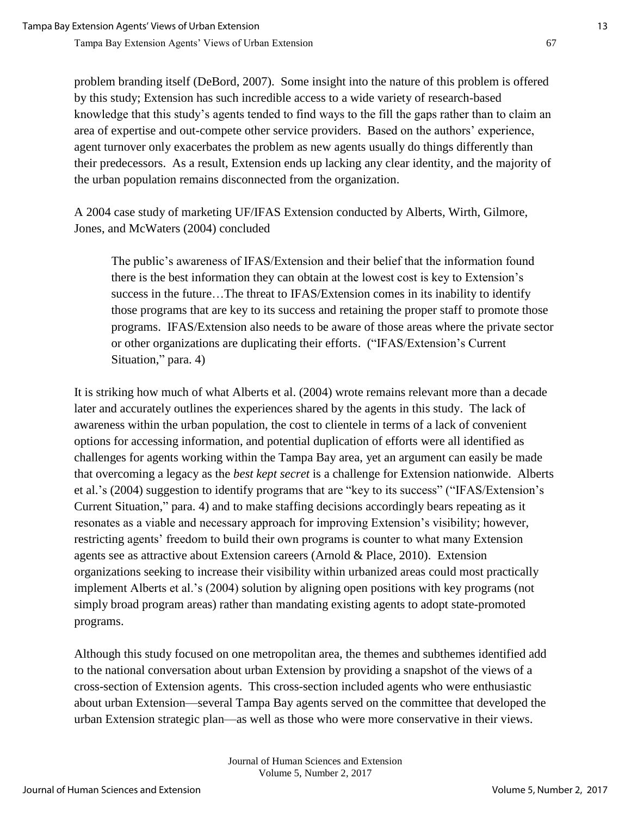problem branding itself (DeBord, 2007). Some insight into the nature of this problem is offered by this study; Extension has such incredible access to a wide variety of research-based knowledge that this study's agents tended to find ways to the fill the gaps rather than to claim an area of expertise and out-compete other service providers. Based on the authors' experience, agent turnover only exacerbates the problem as new agents usually do things differently than their predecessors. As a result, Extension ends up lacking any clear identity, and the majority of the urban population remains disconnected from the organization.

A 2004 case study of marketing UF/IFAS Extension conducted by Alberts, Wirth, Gilmore, Jones, and McWaters (2004) concluded

The public's awareness of IFAS/Extension and their belief that the information found there is the best information they can obtain at the lowest cost is key to Extension's success in the future...The threat to IFAS/Extension comes in its inability to identify those programs that are key to its success and retaining the proper staff to promote those programs. IFAS/Extension also needs to be aware of those areas where the private sector or other organizations are duplicating their efforts. ("IFAS/Extension's Current Situation," para. 4)

It is striking how much of what Alberts et al. (2004) wrote remains relevant more than a decade later and accurately outlines the experiences shared by the agents in this study. The lack of awareness within the urban population, the cost to clientele in terms of a lack of convenient options for accessing information, and potential duplication of efforts were all identified as challenges for agents working within the Tampa Bay area, yet an argument can easily be made that overcoming a legacy as the *best kept secret* is a challenge for Extension nationwide. Alberts et al.'s (2004) suggestion to identify programs that are "key to its success" ("IFAS/Extension's Current Situation," para. 4) and to make staffing decisions accordingly bears repeating as it resonates as a viable and necessary approach for improving Extension's visibility; however, restricting agents' freedom to build their own programs is counter to what many Extension agents see as attractive about Extension careers (Arnold & Place, 2010). Extension organizations seeking to increase their visibility within urbanized areas could most practically implement Alberts et al.'s (2004) solution by aligning open positions with key programs (not simply broad program areas) rather than mandating existing agents to adopt state-promoted programs.

Although this study focused on one metropolitan area, the themes and subthemes identified add to the national conversation about urban Extension by providing a snapshot of the views of a cross-section of Extension agents. This cross-section included agents who were enthusiastic about urban Extension—several Tampa Bay agents served on the committee that developed the urban Extension strategic plan—as well as those who were more conservative in their views.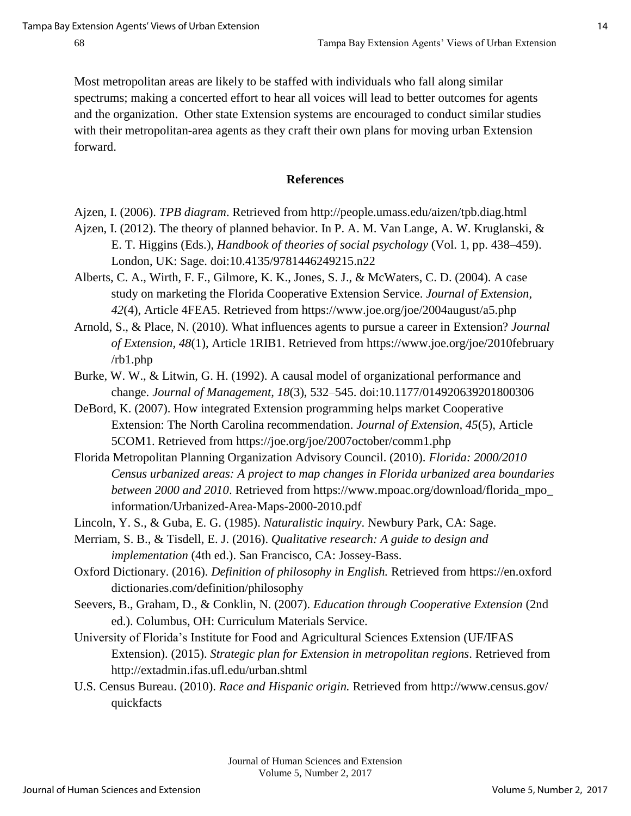Most metropolitan areas are likely to be staffed with individuals who fall along similar spectrums; making a concerted effort to hear all voices will lead to better outcomes for agents and the organization. Other state Extension systems are encouraged to conduct similar studies with their metropolitan-area agents as they craft their own plans for moving urban Extension forward.

#### **References**

- Ajzen, I. (2006). *TPB diagram*. Retrieved from http://people.umass.edu/aizen/tpb.diag.html
- Ajzen, I. (2012). The theory of planned behavior. In P. A. M. Van Lange, A. W. Kruglanski, & E. T. Higgins (Eds.), *Handbook of theories of social psychology* (Vol. 1, pp. 438–459). London, UK: Sage. doi:10.4135/9781446249215.n22
- Alberts, C. A., Wirth, F. F., Gilmore, K. K., Jones, S. J., & McWaters, C. D. (2004). A case study on marketing the Florida Cooperative Extension Service. *Journal of Extension*, *42*(4), Article 4FEA5. Retrieved from https://www.joe.org/joe/2004august/a5.php
- Arnold, S., & Place, N. (2010). What influences agents to pursue a career in Extension? *Journal of Extension, 48*(1), Article 1RIB1. Retrieved from https://www.joe.org/joe/2010february /rb1.php
- Burke, W. W., & Litwin, G. H. (1992). A causal model of organizational performance and change. *Journal of Management, 18*(3), 532–545. doi:10.1177/014920639201800306
- DeBord, K. (2007). How integrated Extension programming helps market Cooperative Extension: The North Carolina recommendation. *Journal of Extension, 45*(5), Article 5COM1. Retrieved from https://joe.org/joe/2007october/comm1.php
- Florida Metropolitan Planning Organization Advisory Council. (2010). *Florida: 2000/2010 Census urbanized areas: A project to map changes in Florida urbanized area boundaries between 2000 and 2010*. Retrieved from https://www.mpoac.org/download/florida\_mpo\_ information/Urbanized-Area-Maps-2000-2010.pdf
- Lincoln, Y. S., & Guba, E. G. (1985). *Naturalistic inquiry*. Newbury Park, CA: Sage.
- Merriam, S. B., & Tisdell, E. J. (2016). *Qualitative research: A guide to design and implementation* (4th ed.). San Francisco, CA: Jossey-Bass.
- Oxford Dictionary. (2016). *Definition of philosophy in English.* Retrieved from https://en.oxford dictionaries.com/definition/philosophy
- Seevers, B., Graham, D., & Conklin, N. (2007). *Education through Cooperative Extension* (2nd ed.). Columbus, OH: Curriculum Materials Service.
- University of Florida's Institute for Food and Agricultural Sciences Extension (UF/IFAS Extension). (2015). *Strategic plan for Extension in metropolitan regions*. Retrieved from http://extadmin.ifas.ufl.edu/urban.shtml
- U.S. Census Bureau. (2010). *Race and Hispanic origin.* Retrieved from http://www.census.gov/ quickfacts